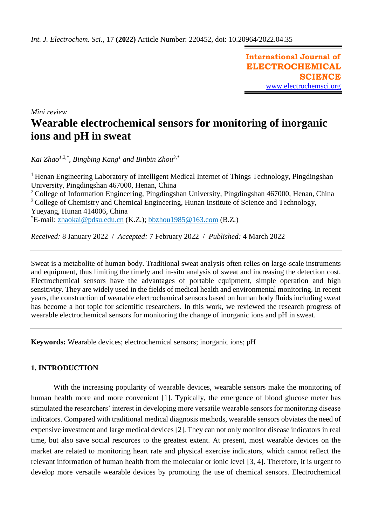**International Journal of ELECTROCHEMICAL SCIENCE** [www.electrochemsci.org](http://www.electrochemsci.org/)

*Mini review*

# **Wearable electrochemical sensors for monitoring of inorganic ions and pH in sweat**

*Kai Zhao1,2,\* , Bingbing Kang<sup>1</sup> and Binbin Zhou3,\**

<sup>1</sup> Henan Engineering Laboratory of Intelligent Medical Internet of Things Technology, Pingdingshan University, Pingdingshan 467000, Henan, China <sup>2</sup> College of Information Engineering, Pingdingshan University, Pingdingshan 467000, Henan, China <sup>3</sup> College of Chemistry and Chemical Engineering, Hunan Institute of Science and Technology, Yueyang, Hunan 414006, China  $E$ -mail: [zhaokai@pdsu.edu.cn](mailto:zhaokai@pdsu.edu.cn) (K.Z.); [bbzhou1985@163.com](mailto:bbzhou1985@163.com) (B.Z.)

*Received:* 8 January 2022/ *Accepted:* 7 February 2022 / *Published:* 4 March 2022

Sweat is a metabolite of human body. Traditional sweat analysis often relies on large-scale instruments and equipment, thus limiting the timely and in-situ analysis of sweat and increasing the detection cost. Electrochemical sensors have the advantages of portable equipment, simple operation and high sensitivity. They are widely used in the fields of medical health and environmental monitoring. In recent years, the construction of wearable electrochemical sensors based on human body fluids including sweat has become a hot topic for scientific researchers. In this work, we reviewed the research progress of wearable electrochemical sensors for monitoring the change of inorganic ions and pH in sweat.

**Keywords:** Wearable devices; electrochemical sensors; inorganic ions; pH

## **1. INTRODUCTION**

With the increasing popularity of wearable devices, wearable sensors make the monitoring of human health more and more convenient [1]. Typically, the emergence of blood glucose meter has stimulated the researchers' interest in developing more versatile wearable sensors for monitoring disease indicators. Compared with traditional medical diagnosis methods, wearable sensors obviates the need of expensive investment and large medical devices [2]. They can not only monitor disease indicators in real time, but also save social resources to the greatest extent. At present, most wearable devices on the market are related to monitoring heart rate and physical exercise indicators, which cannot reflect the relevant information of human health from the molecular or ionic level [3, 4]. Therefore, it is urgent to develop more versatile wearable devices by promoting the use of chemical sensors. Electrochemical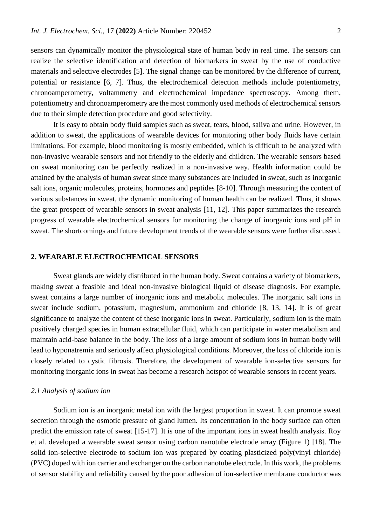sensors can dynamically monitor the physiological state of human body in real time. The sensors can realize the selective identification and detection of biomarkers in sweat by the use of conductive materials and selective electrodes [5]. The signal change can be monitored by the difference of current, potential or resistance [6, 7]. Thus, the electrochemical detection methods include potentiometry, chronoamperometry, voltammetry and electrochemical impedance spectroscopy. Among them, potentiometry and chronoamperometry are the most commonly used methods of electrochemical sensors due to their simple detection procedure and good selectivity.

It is easy to obtain body fluid samples such as sweat, tears, blood, saliva and urine. However, in addition to sweat, the applications of wearable devices for monitoring other body fluids have certain limitations. For example, blood monitoring is mostly embedded, which is difficult to be analyzed with non-invasive wearable sensors and not friendly to the elderly and children. The wearable sensors based on sweat monitoring can be perfectly realized in a non-invasive way. Health information could be attained by the analysis of human sweat since many substances are included in sweat, such as inorganic salt ions, organic molecules, proteins, hormones and peptides [8-10]. Through measuring the content of various substances in sweat, the dynamic monitoring of human health can be realized. Thus, it shows the great prospect of wearable sensors in sweat analysis [11, 12]. This paper summarizes the research progress of wearable electrochemical sensors for monitoring the change of inorganic ions and pH in sweat. The shortcomings and future development trends of the wearable sensors were further discussed.

## **2. WEARABLE ELECTROCHEMICAL SENSORS**

Sweat glands are widely distributed in the human body. Sweat contains a variety of biomarkers, making sweat a feasible and ideal non-invasive biological liquid of disease diagnosis. For example, sweat contains a large number of inorganic ions and metabolic molecules. The inorganic salt ions in sweat include sodium, potassium, magnesium, ammonium and chloride [8, 13, 14]. It is of great significance to analyze the content of these inorganic ions in sweat. Particularly, sodium ion is the main positively charged species in human extracellular fluid, which can participate in water metabolism and maintain acid-base balance in the body. The loss of a large amount of sodium ions in human body will lead to hyponatremia and seriously affect physiological conditions. Moreover, the loss of chloride ion is closely related to cystic fibrosis. Therefore, the development of wearable ion-selective sensors for monitoring inorganic ions in sweat has become a research hotspot of wearable sensors in recent years.

#### *2.1 Analysis of sodium ion*

Sodium ion is an inorganic metal ion with the largest proportion in sweat. It can promote sweat secretion through the osmotic pressure of gland lumen. Its concentration in the body surface can often predict the emission rate of sweat [15-17]. It is one of the important ions in sweat health analysis. Roy et al. developed a wearable sweat sensor using carbon nanotube electrode array (Figure 1) [18]. The solid ion-selective electrode to sodium ion was prepared by coating plasticized poly(vinyl chloride) (PVC) doped with ion carrier and exchanger on the carbon nanotube electrode. In this work, the problems of sensor stability and reliability caused by the poor adhesion of ion-selective membrane conductor was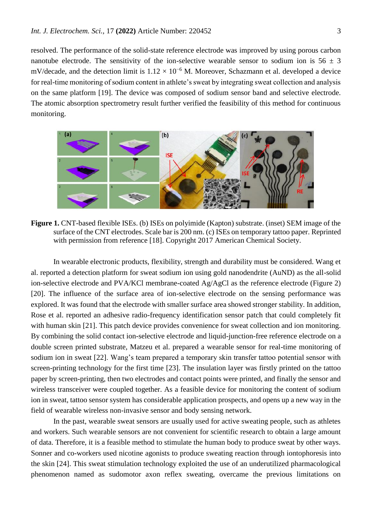resolved. The performance of the solid-state reference electrode was improved by using porous carbon nanotube electrode. The sensitivity of the ion-selective wearable sensor to sodium ion is  $56 \pm 3$ mV/decade, and the detection limit is  $1.12 \times 10^{-6}$  M. Moreover, Schazmann et al. developed a device for real-time monitoring of sodium content in athlete's sweat by integrating sweat collection and analysis on the same platform [19]. The device was composed of sodium sensor band and selective electrode. The atomic absorption spectrometry result further verified the feasibility of this method for continuous monitoring.



**Figure 1.** CNT-based flexible ISEs. (b) ISEs on polyimide (Kapton) substrate. (inset) SEM image of the surface of the CNT electrodes. Scale bar is 200 nm. (c) ISEs on temporary tattoo paper. Reprinted with permission from reference [18]. Copyright 2017 American Chemical Society.

In wearable electronic products, flexibility, strength and durability must be considered. Wang et al. reported a detection platform for sweat sodium ion using gold nanodendrite (AuND) as the all-solid ion-selective electrode and PVA/KCl membrane-coated Ag/AgCl as the reference electrode (Figure 2) [20]. The influence of the surface area of ion-selective electrode on the sensing performance was explored. It was found that the electrode with smaller surface area showed stronger stability. In addition, Rose et al. reported an adhesive radio-frequency identification sensor patch that could completely fit with human skin [21]. This patch device provides convenience for sweat collection and ion monitoring. By combining the solid contact ion-selective electrode and liquid-junction-free reference electrode on a double screen printed substrate, Matzeu et al. prepared a wearable sensor for real-time monitoring of sodium ion in sweat [22]. Wang's team prepared a temporary skin transfer tattoo potential sensor with screen-printing technology for the first time [23]. The insulation layer was firstly printed on the tattoo paper by screen-printing, then two electrodes and contact points were printed, and finally the sensor and wireless transceiver were coupled together. As a feasible device for monitoring the content of sodium ion in sweat, tattoo sensor system has considerable application prospects, and opens up a new way in the field of wearable wireless non-invasive sensor and body sensing network.

In the past, wearable sweat sensors are usually used for active sweating people, such as athletes and workers. Such wearable sensors are not convenient for scientific research to obtain a large amount of data. Therefore, it is a feasible method to stimulate the human body to produce sweat by other ways. Sonner and co-workers used nicotine agonists to produce sweating reaction through iontophoresis into the skin [24]. This sweat stimulation technology exploited the use of an underutilized pharmacological phenomenon named as sudomotor axon reflex sweating, overcame the previous limitations on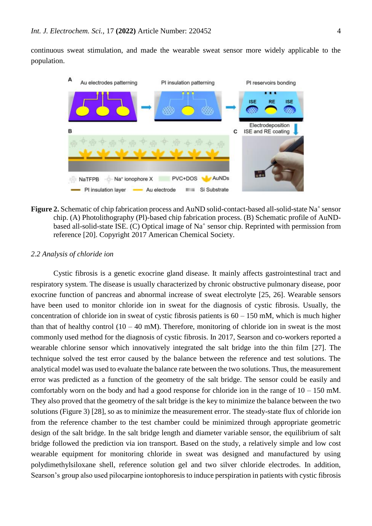continuous sweat stimulation, and made the wearable sweat sensor more widely applicable to the population.



Figure 2. Schematic of chip fabrication process and AuND solid-contact-based all-solid-state Na<sup>+</sup> sensor chip. (A) Photolithography (Pl)-based chip fabrication process. (B) Schematic profile of AuNDbased all-solid-state ISE. (C) Optical image of Na<sup>+</sup> sensor chip. Reprinted with permission from reference [20]. Copyright 2017 American Chemical Society.

#### *2.2 Analysis of chloride ion*

Cystic fibrosis is a genetic exocrine gland disease. It mainly affects gastrointestinal tract and respiratory system. The disease is usually characterized by chronic obstructive pulmonary disease, poor exocrine function of pancreas and abnormal increase of sweat electrolyte [25, 26]. Wearable sensors have been used to monitor chloride ion in sweat for the diagnosis of cystic fibrosis. Usually, the concentration of chloride ion in sweat of cystic fibrosis patients is  $60 - 150$  mM, which is much higher than that of healthy control  $(10 - 40 \text{ mM})$ . Therefore, monitoring of chloride ion in sweat is the most commonly used method for the diagnosis of cystic fibrosis. In 2017, Searson and co-workers reported a wearable chlorine sensor which innovatively integrated the salt bridge into the thin film [27]. The technique solved the test error caused by the balance between the reference and test solutions. The analytical model was used to evaluate the balance rate between the two solutions. Thus, the measurement error was predicted as a function of the geometry of the salt bridge. The sensor could be easily and comfortably worn on the body and had a good response for chloride ion in the range of  $10 - 150$  mM. They also proved that the geometry of the salt bridge is the key to minimize the balance between the two solutions (Figure 3) [28], so as to minimize the measurement error. The steady-state flux of chloride ion from the reference chamber to the test chamber could be minimized through appropriate geometric design of the salt bridge. In the salt bridge length and diameter variable sensor, the equilibrium of salt bridge followed the prediction via ion transport. Based on the study, a relatively simple and low cost wearable equipment for monitoring chloride in sweat was designed and manufactured by using polydimethylsiloxane shell, reference solution gel and two silver chloride electrodes. In addition, Searson's group also used pilocarpine iontophoresis to induce perspiration in patients with cystic fibrosis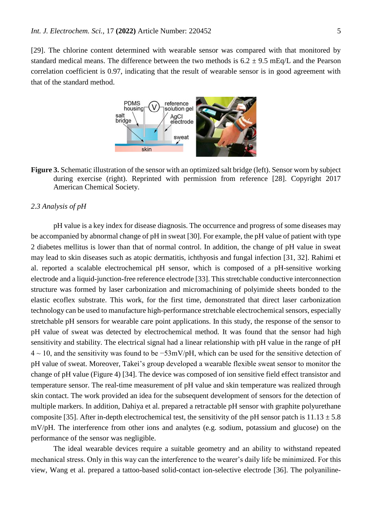[29]. The chlorine content determined with wearable sensor was compared with that monitored by standard medical means. The difference between the two methods is  $6.2 \pm 9.5$  mEq/L and the Pearson correlation coefficient is 0.97, indicating that the result of wearable sensor is in good agreement with that of the standard method.



**Figure 3.** Schematic illustration of the sensor with an optimized salt bridge (left). Sensor worn by subject during exercise (right). Reprinted with permission from reference [28]. Copyright 2017 American Chemical Society.

## *2.3 Analysis of pH*

pH value is a key index for disease diagnosis. The occurrence and progress of some diseases may be accompanied by abnormal change of pH in sweat [30]. For example, the pH value of patient with type 2 diabetes mellitus is lower than that of normal control. In addition, the change of pH value in sweat may lead to skin diseases such as atopic dermatitis, ichthyosis and fungal infection [31, 32]. Rahimi et al. reported a scalable electrochemical pH sensor, which is composed of a pH-sensitive working electrode and a liquid-junction-free reference electrode [33]. This stretchable conductive interconnection structure was formed by laser carbonization and micromachining of polyimide sheets bonded to the elastic ecoflex substrate. This work, for the first time, demonstrated that direct laser carbonization technology can be used to manufacture high-performance stretchable electrochemical sensors, especially stretchable pH sensors for wearable care point applications. In this study, the response of the sensor to pH value of sweat was detected by electrochemical method. It was found that the sensor had high sensitivity and stability. The electrical signal had a linear relationship with pH value in the range of pH 4 ~ 10, and the sensitivity was found to be −53mV/pH, which can be used for the sensitive detection of pH value of sweat. Moreover, Takei's group developed a wearable flexible sweat sensor to monitor the change of pH value (Figure 4) [34]. The device was composed of ion sensitive field effect transistor and temperature sensor. The real-time measurement of pH value and skin temperature was realized through skin contact. The work provided an idea for the subsequent development of sensors for the detection of multiple markers. In addition, Dahiya et al. prepared a retractable pH sensor with graphite polyurethane composite [35]. After in-depth electrochemical test, the sensitivity of the pH sensor patch is  $11.13 \pm 5.8$ mV/pH. The interference from other ions and analytes (e.g. sodium, potassium and glucose) on the performance of the sensor was negligible.

The ideal wearable devices require a suitable geometry and an ability to withstand repeated mechanical stress. Only in this way can the interference to the wearer's daily life be minimized. For this view, Wang et al. prepared a tattoo-based solid-contact ion-selective electrode [36]. The polyaniline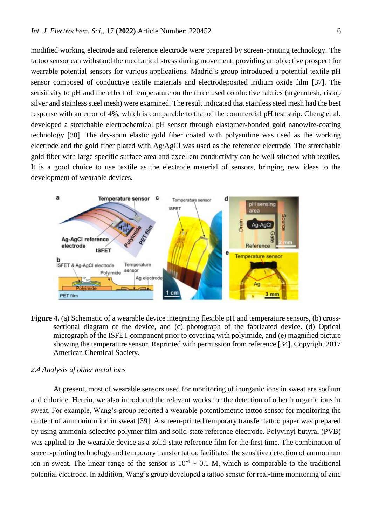modified working electrode and reference electrode were prepared by screen-printing technology. The tattoo sensor can withstand the mechanical stress during movement, providing an objective prospect for wearable potential sensors for various applications. Madrid's group introduced a potential textile pH sensor composed of conductive textile materials and electrodeposited iridium oxide film [37]. The sensitivity to pH and the effect of temperature on the three used conductive fabrics (argenmesh, ristop silver and stainless steel mesh) were examined. The result indicated that stainless steel mesh had the best response with an error of 4%, which is comparable to that of the commercial pH test strip. Cheng et al. developed a stretchable electrochemical pH sensor through elastomer-bonded gold nanowire-coating technology [38]. The dry-spun elastic gold fiber coated with polyaniline was used as the working electrode and the gold fiber plated with Ag/AgCl was used as the reference electrode. The stretchable gold fiber with large specific surface area and excellent conductivity can be well stitched with textiles. It is a good choice to use textile as the electrode material of sensors, bringing new ideas to the development of wearable devices.



**Figure 4.** (a) Schematic of a wearable device integrating flexible pH and temperature sensors, (b) crosssectional diagram of the device, and (c) photograph of the fabricated device. (d) Optical micrograph of the ISFET component prior to covering with polyimide, and (e) magnified picture showing the temperature sensor. Reprinted with permission from reference [34]. Copyright 2017 American Chemical Society.

#### *2.4 Analysis of other metal ions*

At present, most of wearable sensors used for monitoring of inorganic ions in sweat are sodium and chloride. Herein, we also introduced the relevant works for the detection of other inorganic ions in sweat. For example, Wang's group reported a wearable potentiometric tattoo sensor for monitoring the content of ammonium ion in sweat [39]. A screen-printed temporary transfer tattoo paper was prepared by using ammonia-selective polymer film and solid-state reference electrode. Polyvinyl butyral (PVB) was applied to the wearable device as a solid-state reference film for the first time. The combination of screen-printing technology and temporary transfer tattoo facilitated the sensitive detection of ammonium ion in sweat. The linear range of the sensor is  $10^{-4} \sim 0.1$  M, which is comparable to the traditional potential electrode. In addition, Wang's group developed a tattoo sensor for real-time monitoring of zinc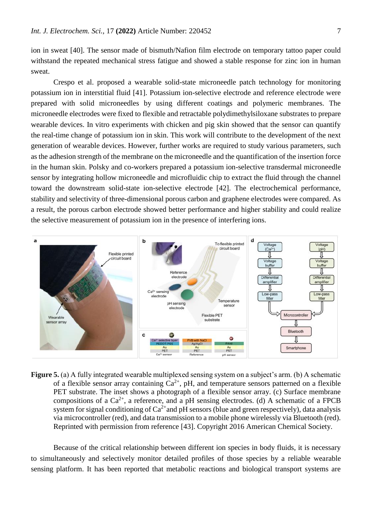ion in sweat [40]. The sensor made of bismuth/Nafion film electrode on temporary tattoo paper could withstand the repeated mechanical stress fatigue and showed a stable response for zinc ion in human sweat.

Crespo et al. proposed a wearable solid-state microneedle patch technology for monitoring potassium ion in interstitial fluid [41]. Potassium ion-selective electrode and reference electrode were prepared with solid microneedles by using different coatings and polymeric membranes. The microneedle electrodes were fixed to flexible and retractable polydimethylsiloxane substrates to prepare wearable devices. In vitro experiments with chicken and pig skin showed that the sensor can quantify the real-time change of potassium ion in skin. This work will contribute to the development of the next generation of wearable devices. However, further works are required to study various parameters, such as the adhesion strength of the membrane on the microneedle and the quantification of the insertion force in the human skin. Polsky and co-workers prepared a potassium ion-selective transdermal microneedle sensor by integrating hollow microneedle and microfluidic chip to extract the fluid through the channel toward the downstream solid-state ion-selective electrode [42]. The electrochemical performance, stability and selectivity of three-dimensional porous carbon and graphene electrodes were compared. As a result, the porous carbon electrode showed better performance and higher stability and could realize the selective measurement of potassium ion in the presence of interfering ions.



**Figure 5.** (a) A fully integrated wearable multiplexed sensing system on a subject's arm. (b) A schematic of a flexible sensor array containing  $Ca^{2+}$ , pH, and temperature sensors patterned on a flexible PET substrate. The inset shows a photograph of a flexible sensor array. (c) Surface membrane compositions of a  $Ca^{2+}$ , a reference, and a pH sensing electrodes. (d) A schematic of a FPCB system for signal conditioning of  $Ca^{2+}$  and pH sensors (blue and green respectively), data analysis via microcontroller (red), and data transmission to a mobile phone wirelessly via Bluetooth (red). Reprinted with permission from reference [43]. Copyright 2016 American Chemical Society.

Because of the critical relationship between different ion species in body fluids, it is necessary to simultaneously and selectively monitor detailed profiles of those species by a reliable wearable sensing platform. It has been reported that metabolic reactions and biological transport systems are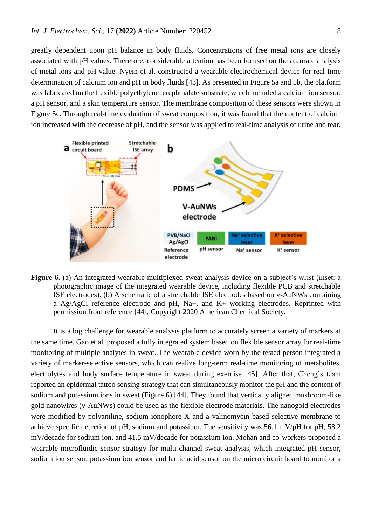greatly dependent upon pH balance in body fluids. Concentrations of free metal ions are closely associated with pH values. Therefore, considerable attention has been focused on the accurate analysis of metal ions and pH value. Nyein et al. constructed a wearable electrochemical device for real-time determination of calcium ion and pH in body fluids [43]. As presented in Figure 5a and 5b, the platform was fabricated on the flexible polyethylene terephthalate substrate, which included a calcium ion sensor, a pH sensor, and a skin temperature sensor. The membrane composition of these sensors were shown in Figure 5c. Through real-time evaluation of sweat composition, it was found that the content of calcium ion increased with the decrease of pH, and the sensor was applied to real-time analysis of urine and tear.



**Figure 6.** (a) An integrated wearable multiplexed sweat analysis device on a subject's wrist (inset: a photographic image of the integrated wearable device, including flexible PCB and stretchable ISE electrodes). (b) A schematic of a stretchable ISE electrodes based on v-AuNWs containing a Ag/AgCl reference electrode and pH, Na+, and K+ working electrodes. Reprinted with permission from reference [44]. Copyright 2020 American Chemical Society.

It is a big challenge for wearable analysis platform to accurately screen a variety of markers at the same time. Gao et al. proposed a fully integrated system based on flexible sensor array for real-time monitoring of multiple analytes in sweat. The wearable device worn by the tested person integrated a variety of marker-selective sensors, which can realize long-term real-time monitoring of metabolites, electrolytes and body surface temperature in sweat during exercise [45]. After that, Cheng's team reported an epidermal tattoo sensing strategy that can simultaneously monitor the pH and the content of sodium and potassium ions in sweat (Figure 6) [44]. They found that vertically aligned mushroom-like gold nanowires (v-AuNWs) could be used as the flexible electrode materials. The nanogold electrodes were modified by polyaniline, sodium ionophore X and a valinomycin-based selective membrane to achieve specific detection of pH, sodium and potassium. The sensitivity was 56.1 mV/pH for pH, 58.2 mV/decade for sodium ion, and 41.5 mV/decade for potassium ion. Mohan and co-workers proposed a wearable microfluidic sensor strategy for multi-channel sweat analysis, which integrated pH sensor, sodium ion sensor, potassium ion sensor and lactic acid sensor on the micro circuit board to monitor a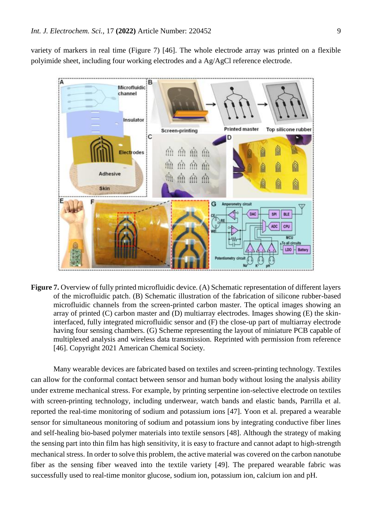variety of markers in real time (Figure 7) [46]. The whole electrode array was printed on a flexible polyimide sheet, including four working electrodes and a Ag/AgCl reference electrode.



**Figure 7.** Overview of fully printed microfluidic device. (A) Schematic representation of different layers of the microfluidic patch. (B) Schematic illustration of the fabrication of silicone rubber-based microfluidic channels from the screen-printed carbon master. The optical images showing an array of printed  $(C)$  carbon master and  $(D)$  multiarray electrodes. Images showing  $(E)$  the skininterfaced, fully integrated microfluidic sensor and (F) the close-up part of multiarray electrode having four sensing chambers. (G) Scheme representing the layout of miniature PCB capable of multiplexed analysis and wireless data transmission. Reprinted with permission from reference [46]. Copyright 2021 American Chemical Society.

Many wearable devices are fabricated based on textiles and screen-printing technology. Textiles can allow for the conformal contact between sensor and human body without losing the analysis ability under extreme mechanical stress. For example, by printing serpentine ion-selective electrode on textiles with screen-printing technology, including underwear, watch bands and elastic bands, Parrilla et al. reported the real-time monitoring of sodium and potassium ions [47]. Yoon et al. prepared a wearable sensor for simultaneous monitoring of sodium and potassium ions by integrating conductive fiber lines and self-healing bio-based polymer materials into textile sensors [48]. Although the strategy of making the sensing part into thin film has high sensitivity, it is easy to fracture and cannot adapt to high-strength mechanical stress. In order to solve this problem, the active material was covered on the carbon nanotube fiber as the sensing fiber weaved into the textile variety [49]. The prepared wearable fabric was successfully used to real-time monitor glucose, sodium ion, potassium ion, calcium ion and pH.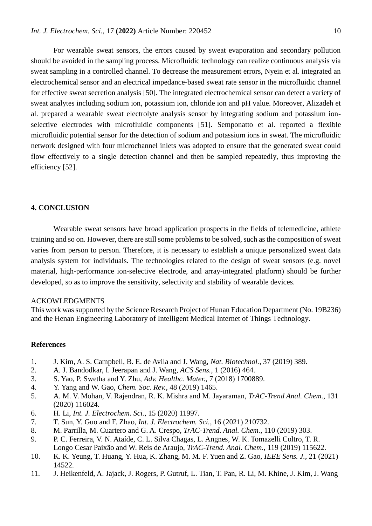For wearable sweat sensors, the errors caused by sweat evaporation and secondary pollution should be avoided in the sampling process. Microfluidic technology can realize continuous analysis via sweat sampling in a controlled channel. To decrease the measurement errors, Nyein et al. integrated an electrochemical sensor and an electrical impedance-based sweat rate sensor in the microfluidic channel for effective sweat secretion analysis [50]. The integrated electrochemical sensor can detect a variety of sweat analytes including sodium ion, potassium ion, chloride ion and pH value. Moreover, Alizadeh et al. prepared a wearable sweat electrolyte analysis sensor by integrating sodium and potassium ionselective electrodes with microfluidic components [51]. Semponatto et al. reported a flexible microfluidic potential sensor for the detection of sodium and potassium ions in sweat. The microfluidic network designed with four microchannel inlets was adopted to ensure that the generated sweat could flow effectively to a single detection channel and then be sampled repeatedly, thus improving the efficiency [52].

## **4. CONCLUSION**

Wearable sweat sensors have broad application prospects in the fields of telemedicine, athlete training and so on. However, there are still some problems to be solved, such as the composition of sweat varies from person to person. Therefore, it is necessary to establish a unique personalized sweat data analysis system for individuals. The technologies related to the design of sweat sensors (e.g. novel material, high-performance ion-selective electrode, and array-integrated platform) should be further developed, so as to improve the sensitivity, selectivity and stability of wearable devices.

#### ACKOWLEDGMENTS

This work was supported by the Science Research Project of Hunan Education Department (No. 19B236) and the Henan Engineering Laboratory of Intelligent Medical Internet of Things Technology.

## **References**

- 1. J. Kim, A. S. Campbell, B. E. de Avila and J. Wang, *Nat. Biotechnol.*, 37 (2019) 389.
- 2. A. J. Bandodkar, I. Jeerapan and J. Wang, *ACS Sens.*, 1 (2016) 464.
- 3. S. Yao, P. Swetha and Y. Zhu, *Adv. Healthc. Mater.*, 7 (2018) 1700889.
- 4. Y. Yang and W. Gao, *Chem. Soc. Rev.*, 48 (2019) 1465.
- 5. A. M. V. Mohan, V. Rajendran, R. K. Mishra and M. Jayaraman, *TrAC-Trend Anal. Chem.*, 131 (2020) 116024.
- 6. H. Li, *Int. J. Electrochem. Sci.*, 15 (2020) 11997.
- 7. T. Sun, Y. Guo and F. Zhao, *Int. J. Electrochem. Sci.*, 16 (2021) 210732.
- 8. M. Parrilla, M. Cuartero and G. A. Crespo, *TrAC-Trend. Anal. Chem.*, 110 (2019) 303.
- 9. P. C. Ferreira, V. N. Ataíde, C. L. Silva Chagas, L. Angnes, W. K. Tomazelli Coltro, T. R. Longo Cesar Paixão and W. Reis de Araujo, *TrAC-Trend. Anal. Chem.*, 119 (2019) 115622.
- 10. K. K. Yeung, T. Huang, Y. Hua, K. Zhang, M. M. F. Yuen and Z. Gao, *IEEE Sens. J.*, 21 (2021) 14522.
- 11. J. Heikenfeld, A. Jajack, J. Rogers, P. Gutruf, L. Tian, T. Pan, R. Li, M. Khine, J. Kim, J. Wang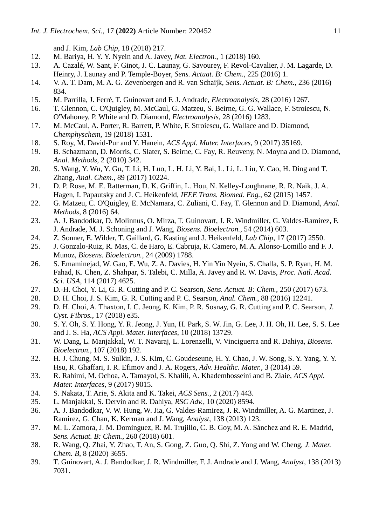and J. Kim, *Lab Chip*, 18 (2018) 217.

- 12. M. Bariya, H. Y. Y. Nyein and A. Javey, *Nat. Electron.*, 1 (2018) 160.
- 13. A. Cazalé, W. Sant, F. Ginot, J. C. Launay, G. Savourey, F. Revol-Cavalier, J. M. Lagarde, D. Heinry, J. Launay and P. Temple-Boyer, *Sens. Actuat. B: Chem.*, 225 (2016) 1.
- 14. V. A. T. Dam, M. A. G. Zevenbergen and R. van Schaijk, *Sens. Actuat. B: Chem.*, 236 (2016) 834.
- 15. M. Parrilla, J. Ferré, T. Guinovart and F. J. Andrade, *Electroanalysis*, 28 (2016) 1267.
- 16. T. Glennon, C. O'Quigley, M. McCaul, G. Matzeu, S. Beirne, G. G. Wallace, F. Stroiescu, N. O'Mahoney, P. White and D. Diamond, *Electroanalysis*, 28 (2016) 1283.
- 17. M. McCaul, A. Porter, R. Barrett, P. White, F. Stroiescu, G. Wallace and D. Diamond, *Chemphyschem*, 19 (2018) 1531.
- 18. S. Roy, M. David-Pur and Y. Hanein, *ACS Appl. Mater. Interfaces*, 9 (2017) 35169.
- 19. B. Schazmann, D. Morris, C. Slater, S. Beirne, C. Fay, R. Reuveny, N. Moyna and D. Diamond, *Anal. Methods*, 2 (2010) 342.
- 20. S. Wang, Y. Wu, Y. Gu, T. Li, H. Luo, L. H. Li, Y. Bai, L. Li, L. Liu, Y. Cao, H. Ding and T. Zhang, *Anal. Chem.*, 89 (2017) 10224.
- 21. D. P. Rose, M. E. Ratterman, D. K. Griffin, L. Hou, N. Kelley-Loughnane, R. R. Naik, J. A. Hagen, I. Papautsky and J. C. Heikenfeld, *IEEE Trans. Biomed. Eng.*, 62 (2015) 1457.
- 22. G. Matzeu, C. O'Quigley, E. McNamara, C. Zuliani, C. Fay, T. Glennon and D. Diamond, *Anal. Methods*, 8 (2016) 64.
- 23. A. J. Bandodkar, D. Molinnus, O. Mirza, T. Guinovart, J. R. Windmiller, G. Valdes-Ramirez, F. J. Andrade, M. J. Schoning and J. Wang, *Biosens. Bioelectron.*, 54 (2014) 603.
- 24. Z. Sonner, E. Wilder, T. Gaillard, G. Kasting and J. Heikenfeld, *Lab Chip*, 17 (2017) 2550.
- 25. J. Gonzalo-Ruiz, R. Mas, C. de Haro, E. Cabruja, R. Camero, M. A. Alonso-Lomillo and F. J. Munoz, *Biosens. Bioelectron.*, 24 (2009) 1788.
- 26. S. Emaminejad, W. Gao, E. Wu, Z. A. Davies, H. Yin Yin Nyein, S. Challa, S. P. Ryan, H. M. Fahad, K. Chen, Z. Shahpar, S. Talebi, C. Milla, A. Javey and R. W. Davis, *Proc. Natl. Acad. Sci. USA*, 114 (2017) 4625.
- 27. D.-H. Choi, Y. Li, G. R. Cutting and P. C. Searson, *Sens. Actuat. B: Chem.*, 250 (2017) 673.
- 28. D. H. Choi, J. S. Kim, G. R. Cutting and P. C. Searson, *Anal. Chem.*, 88 (2016) 12241.
- 29. D. H. Choi, A. Thaxton, I. C. Jeong, K. Kim, P. R. Sosnay, G. R. Cutting and P. C. Searson, *J. Cyst. Fibros.*, 17 (2018) e35.
- 30. S. Y. Oh, S. Y. Hong, Y. R. Jeong, J. Yun, H. Park, S. W. Jin, G. Lee, J. H. Oh, H. Lee, S. S. Lee and J. S. Ha, *ACS Appl. Mater. Interfaces*, 10 (2018) 13729.
- 31. W. Dang, L. Manjakkal, W. T. Navaraj, L. Lorenzelli, V. Vinciguerra and R. Dahiya, *Biosens. Bioelectron.*, 107 (2018) 192.
- 32. H. J. Chung, M. S. Sulkin, J. S. Kim, C. Goudeseune, H. Y. Chao, J. W. Song, S. Y. Yang, Y. Y. Hsu, R. Ghaffari, I. R. Efimov and J. A. Rogers, *Adv. Healthc. Mater.*, 3 (2014) 59.
- 33. R. Rahimi, M. Ochoa, A. Tamayol, S. Khalili, A. Khademhosseini and B. Ziaie, *ACS Appl. Mater. Interfaces*, 9 (2017) 9015.
- 34. S. Nakata, T. Arie, S. Akita and K. Takei, *ACS Sens.*, 2 (2017) 443.
- 35. L. Manjakkal, S. Dervin and R. Dahiya, *RSC Adv.*, 10 (2020) 8594.
- 36. A. J. Bandodkar, V. W. Hung, W. Jia, G. Valdes-Ramirez, J. R. Windmiller, A. G. Martinez, J. Ramirez, G. Chan, K. Kerman and J. Wang, *Analyst*, 138 (2013) 123.
- 37. M. L. Zamora, J. M. Dominguez, R. M. Trujillo, C. B. Goy, M. A. Sánchez and R. E. Madrid, *Sens. Actuat. B: Chem.*, 260 (2018) 601.
- 38. R. Wang, Q. Zhai, Y. Zhao, T. An, S. Gong, Z. Guo, Q. Shi, Z. Yong and W. Cheng, *J. Mater. Chem. B*, 8 (2020) 3655.
- 39. T. Guinovart, A. J. Bandodkar, J. R. Windmiller, F. J. Andrade and J. Wang, *Analyst*, 138 (2013) 7031.